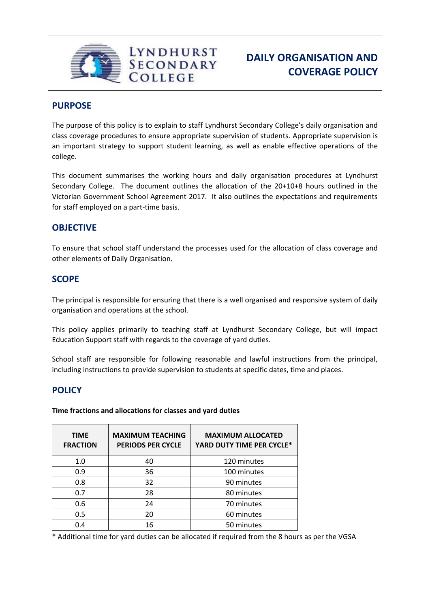

# **PURPOSE**

The purpose of this policy is to explain to staff Lyndhurst Secondary College's daily organisation and class coverage procedures to ensure appropriate supervision of students. Appropriate supervision is an important strategy to support student learning, as well as enable effective operations of the college.

This document summarises the working hours and daily organisation procedures at Lyndhurst Secondary College. The document outlines the allocation of the 20+10+8 hours outlined in the Victorian Government School Agreement 2017. It also outlines the expectations and requirements for staff employed on a part-time basis.

## **OBJECTIVE**

To ensure that school staff understand the processes used for the allocation of class coverage and other elements of Daily Organisation.

### **SCOPE**

The principal is responsible for ensuring that there is a well organised and responsive system of daily organisation and operations at the school.

This policy applies primarily to teaching staff at Lyndhurst Secondary College, but will impact Education Support staff with regards to the coverage of yard duties.

School staff are responsible for following reasonable and lawful instructions from the principal, including instructions to provide supervision to students at specific dates, time and places.

## **POLICY**

**Time fractions and allocations for classes and yard duties**

| <b>TIME</b><br><b>FRACTION</b> | <b>MAXIMUM TEACHING</b><br><b>PERIODS PER CYCLE</b> | <b>MAXIMUM ALLOCATED</b><br>YARD DUTY TIME PER CYCLE* |
|--------------------------------|-----------------------------------------------------|-------------------------------------------------------|
| 1.0                            | 40                                                  | 120 minutes                                           |
| 0.9                            | 36                                                  | 100 minutes                                           |
| 0.8                            | 32                                                  | 90 minutes                                            |
| 0.7                            | 28                                                  | 80 minutes                                            |
| 0.6                            | 24                                                  | 70 minutes                                            |
| 0.5                            | 20                                                  | 60 minutes                                            |
| 0.4                            | 16                                                  | 50 minutes                                            |

\* Additional time for yard duties can be allocated if required from the 8 hours as per the VGSA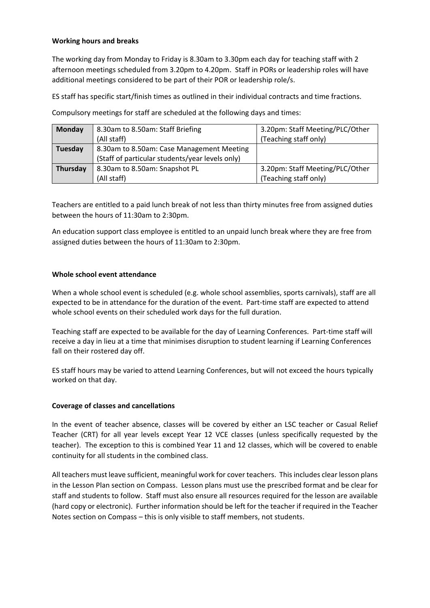### **Working hours and breaks**

The working day from Monday to Friday is 8.30am to 3.30pm each day for teaching staff with 2 afternoon meetings scheduled from 3.20pm to 4.20pm. Staff in PORs or leadership roles will have additional meetings considered to be part of their POR or leadership role/s.

ES staff has specific start/finish times as outlined in their individual contracts and time fractions.

| Monday   | 8.30am to 8.50am: Staff Briefing                | 3.20pm: Staff Meeting/PLC/Other |
|----------|-------------------------------------------------|---------------------------------|
|          | (All staff)                                     | (Teaching staff only)           |
| Tuesday  | 8.30am to 8.50am: Case Management Meeting       |                                 |
|          | (Staff of particular students/year levels only) |                                 |
| Thursday | 8.30am to 8.50am: Snapshot PL                   | 3.20pm: Staff Meeting/PLC/Other |
|          | (All staff)                                     | (Teaching staff only)           |

Compulsory meetings for staff are scheduled at the following days and times:

Teachers are entitled to a paid lunch break of not less than thirty minutes free from assigned duties between the hours of 11:30am to 2:30pm.

An education support class employee is entitled to an unpaid lunch break where they are free from assigned duties between the hours of 11:30am to 2:30pm.

### **Whole school event attendance**

When a whole school event is scheduled (e.g. whole school assemblies, sports carnivals), staff are all expected to be in attendance for the duration of the event. Part-time staff are expected to attend whole school events on their scheduled work days for the full duration.

Teaching staff are expected to be available for the day of Learning Conferences. Part-time staff will receive a day in lieu at a time that minimises disruption to student learning if Learning Conferences fall on their rostered day off.

ES staff hours may be varied to attend Learning Conferences, but will not exceed the hours typically worked on that day.

#### **Coverage of classes and cancellations**

In the event of teacher absence, classes will be covered by either an LSC teacher or Casual Relief Teacher (CRT) for all year levels except Year 12 VCE classes (unless specifically requested by the teacher). The exception to this is combined Year 11 and 12 classes, which will be covered to enable continuity for all students in the combined class.

All teachers must leave sufficient, meaningful work for cover teachers. This includes clear lesson plans in the Lesson Plan section on Compass. Lesson plans must use the prescribed format and be clear for staff and students to follow. Staff must also ensure all resources required for the lesson are available (hard copy or electronic). Further information should be left for the teacher if required in the Teacher Notes section on Compass – this is only visible to staff members, not students.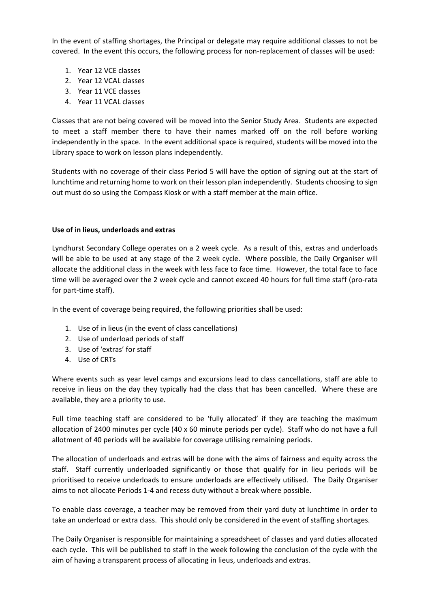In the event of staffing shortages, the Principal or delegate may require additional classes to not be covered. In the event this occurs, the following process for non-replacement of classes will be used:

- 1. Year 12 VCE classes
- 2. Year 12 VCAL classes
- 3. Year 11 VCE classes
- 4. Year 11 VCAL classes

Classes that are not being covered will be moved into the Senior Study Area. Students are expected to meet a staff member there to have their names marked off on the roll before working independently in the space. In the event additional space is required, students will be moved into the Library space to work on lesson plans independently.

Students with no coverage of their class Period 5 will have the option of signing out at the start of lunchtime and returning home to work on their lesson plan independently. Students choosing to sign out must do so using the Compass Kiosk or with a staff member at the main office.

#### **Use of in lieus, underloads and extras**

Lyndhurst Secondary College operates on a 2 week cycle. As a result of this, extras and underloads will be able to be used at any stage of the 2 week cycle. Where possible, the Daily Organiser will allocate the additional class in the week with less face to face time. However, the total face to face time will be averaged over the 2 week cycle and cannot exceed 40 hours for full time staff (pro-rata for part-time staff).

In the event of coverage being required, the following priorities shall be used:

- 1. Use of in lieus (in the event of class cancellations)
- 2. Use of underload periods of staff
- 3. Use of 'extras' for staff
- 4. Use of CRTs

Where events such as year level camps and excursions lead to class cancellations, staff are able to receive in lieus on the day they typically had the class that has been cancelled. Where these are available, they are a priority to use.

Full time teaching staff are considered to be 'fully allocated' if they are teaching the maximum allocation of 2400 minutes per cycle (40 x 60 minute periods per cycle). Staff who do not have a full allotment of 40 periods will be available for coverage utilising remaining periods.

The allocation of underloads and extras will be done with the aims of fairness and equity across the staff. Staff currently underloaded significantly or those that qualify for in lieu periods will be prioritised to receive underloads to ensure underloads are effectively utilised. The Daily Organiser aims to not allocate Periods 1-4 and recess duty without a break where possible.

To enable class coverage, a teacher may be removed from their yard duty at lunchtime in order to take an underload or extra class. This should only be considered in the event of staffing shortages.

The Daily Organiser is responsible for maintaining a spreadsheet of classes and yard duties allocated each cycle. This will be published to staff in the week following the conclusion of the cycle with the aim of having a transparent process of allocating in lieus, underloads and extras.